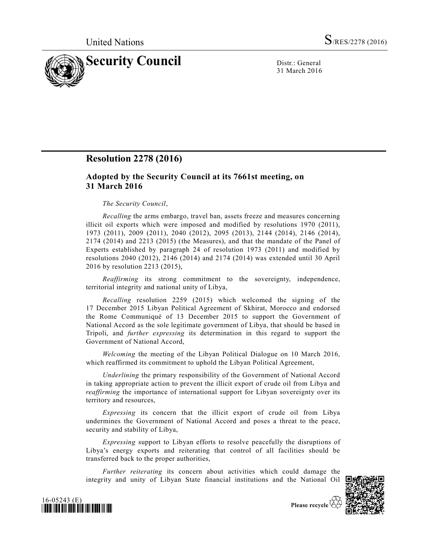

31 March 2016

# **Resolution 2278 (2016)**

# **Adopted by the Security Council at its 7661st meeting, on 31 March 2016**

## *The Security Council*,

*Recalling* the arms embargo, travel ban, assets freeze and measures concerning illicit oil exports which were imposed and modified by resolutions 1970 (2011), 1973 (2011), 2009 (2011), 2040 (2012), 2095 (2013), 2144 (2014), 2146 (2014), 2174 (2014) and 2213 (2015) (the Measures), and that the mandate of the Panel of Experts established by paragraph 24 of resolution 1973 (2011) and modified by resolutions 2040 (2012), 2146 (2014) and 2174 (2014) was extended until 30 April 2016 by resolution 2213 (2015),

*Reaffirming* its strong commitment to the sovereignty, independence, territorial integrity and national unity of Libya,

*Recalling* resolution 2259 (2015) which welcomed the signing of the 17 December 2015 Libyan Political Agreement of Skhirat, Morocco and endorsed the Rome Communiqué of 13 December 2015 to support the Government of National Accord as the sole legitimate government of Libya, that should be based in Tripoli, and *further expressing* its determination in this regard to support the Government of National Accord,

*Welcoming* the meeting of the Libyan Political Dialogue on 10 March 2016, which reaffirmed its commitment to uphold the Libyan Political Agreement,

*Underlining* the primary responsibility of the Government of National Accord in taking appropriate action to prevent the illicit export of crude oil from Libya and *reaffirming* the importance of international support for Libyan sovereignty over its territory and resources,

*Expressing* its concern that the illicit export of crude oil from Libya undermines the Government of National Accord and poses a threat to the peace, security and stability of Libya,

*Expressing* support to Libyan efforts to resolve peacefully the disruptions of Libya's energy exports and reiterating that control of all facilities should be transferred back to the proper authorities,

*Further reiterating* its concern about activities which could damage the integrity and unity of Libyan State financial institutions and the National Oil





Please recycle  $\forall$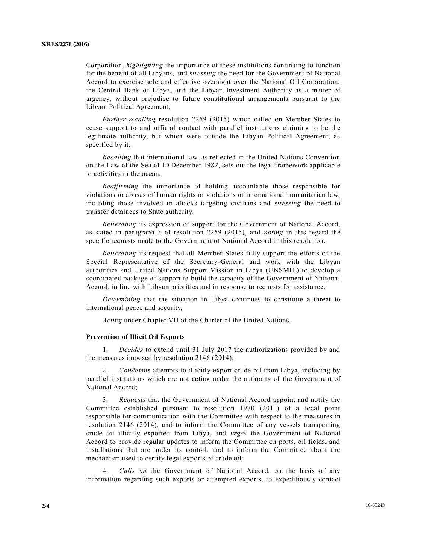Corporation, *highlighting* the importance of these institutions continuing to function for the benefit of all Libyans, and *stressing* the need for the Government of National Accord to exercise sole and effective oversight over the National Oil Corporation, the Central Bank of Libya, and the Libyan Investment Authority as a matter of urgency, without prejudice to future constitutional arrangements pursuant to the Libyan Political Agreement,

*Further recalling* resolution 2259 (2015) which called on Member States to cease support to and official contact with parallel institutions claiming to be the legitimate authority, but which were outside the Libyan Political Agreement, as specified by it,

*Recalling* that international law, as reflected in the United Nations Convention on the Law of the Sea of 10 December 1982, sets out the legal framework applicable to activities in the ocean,

*Reaffirming* the importance of holding accountable those responsible for violations or abuses of human rights or violations of international humanitarian law, including those involved in attacks targeting civilians and *stressing* the need to transfer detainees to State authority,

*Reiterating* its expression of support for the Government of National Accord, as stated in paragraph 3 of resolution 2259 (2015), and *noting* in this regard the specific requests made to the Government of National Accord in this resolution,

*Reiterating* its request that all Member States fully support the efforts of the Special Representative of the Secretary-General and work with the Libyan authorities and United Nations Support Mission in Libya (UNSMIL) to develop a coordinated package of support to build the capacity of the Government of National Accord, in line with Libyan priorities and in response to requests for assistance,

*Determining* that the situation in Libya continues to constitute a threat to international peace and security,

*Acting* under Chapter VII of the Charter of the United Nations,

# **Prevention of Illicit Oil Exports**

1. *Decides* to extend until 31 July 2017 the authorizations provided by and the measures imposed by resolution 2146 (2014);

2. *Condemns* attempts to illicitly export crude oil from Libya, including by parallel institutions which are not acting under the authority of the Government of National Accord;

3. *Requests* that the Government of National Accord appoint and notify the Committee established pursuant to resolution 1970 (2011) of a focal point responsible for communication with the Committee with respect to the mea sures in resolution 2146 (2014), and to inform the Committee of any vessels transporting crude oil illicitly exported from Libya, and *urges* the Government of National Accord to provide regular updates to inform the Committee on ports, oil fields, and installations that are under its control, and to inform the Committee about the mechanism used to certify legal exports of crude oil;

4. *Calls on* the Government of National Accord, on the basis of any information regarding such exports or attempted exports, to expeditiously contact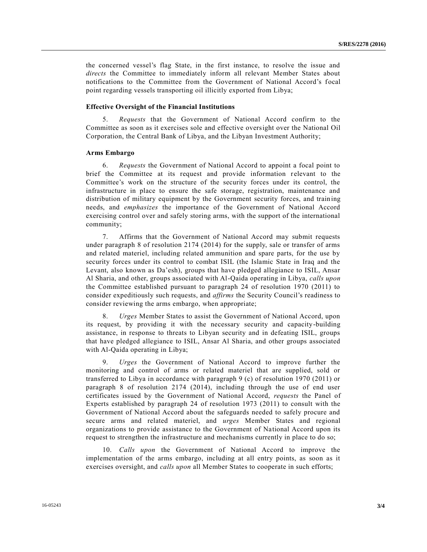the concerned vessel's flag State, in the first instance, to resolve the issue and *directs* the Committee to immediately inform all relevant Member States about notifications to the Committee from the Government of National Accord's focal point regarding vessels transporting oil illicitly exported from Libya;

# **Effective Oversight of the Financial Institutions**

5. *Requests* that the Government of National Accord confirm to the Committee as soon as it exercises sole and effective oversight over the National Oil Corporation, the Central Bank of Libya, and the Libyan Investment Authority;

#### **Arms Embargo**

6. *Requests* the Government of National Accord to appoint a focal point to brief the Committee at its request and provide information relevant to the Committee's work on the structure of the security forces under its control, the infrastructure in place to ensure the safe storage, registration, maintenance and distribution of military equipment by the Government security forces, and training needs, and *emphasizes* the importance of the Government of National Accord exercising control over and safely storing arms, with the support of the international community;

7. Affirms that the Government of National Accord may submit requests under paragraph 8 of resolution 2174 (2014) for the supply, sale or transfer of arms and related materiel, including related ammunition and spare parts, for the use by security forces under its control to combat ISIL (the Islamic State in Iraq and the Levant, also known as Da'esh), groups that have pledged allegiance to ISIL, Ansar Al Sharia, and other, groups associated with Al-Qaida operating in Libya, *calls upon* the Committee established pursuant to paragraph 24 of resolution 1970 (2011) to consider expeditiously such requests, and *affirms* the Security Council's readiness to consider reviewing the arms embargo, when appropriate;

8. *Urges* Member States to assist the Government of National Accord, upon its request, by providing it with the necessary security and capacity-building assistance, in response to threats to Libyan security and in defeating ISIL, groups that have pledged allegiance to ISIL, Ansar Al Sharia, and other groups associated with Al-Qaida operating in Libya;

9. *Urges* the Government of National Accord to improve further the monitoring and control of arms or related materiel that are supplied, sold or transferred to Libya in accordance with paragraph 9 (c) of resolution 1970 (2011) or paragraph 8 of resolution 2174 (2014), including through the use of end user certificates issued by the Government of National Accord, *requests* the Panel of Experts established by paragraph 24 of resolution 1973 (2011) to consult with the Government of National Accord about the safeguards needed to safely procure and secure arms and related materiel, and *urges* Member States and regional organizations to provide assistance to the Government of National Accord upon its request to strengthen the infrastructure and mechanisms currently in place to do so;

10. *Calls upon* the Government of National Accord to improve the implementation of the arms embargo, including at all entry points, as soon as it exercises oversight, and *calls upon* all Member States to cooperate in such efforts;